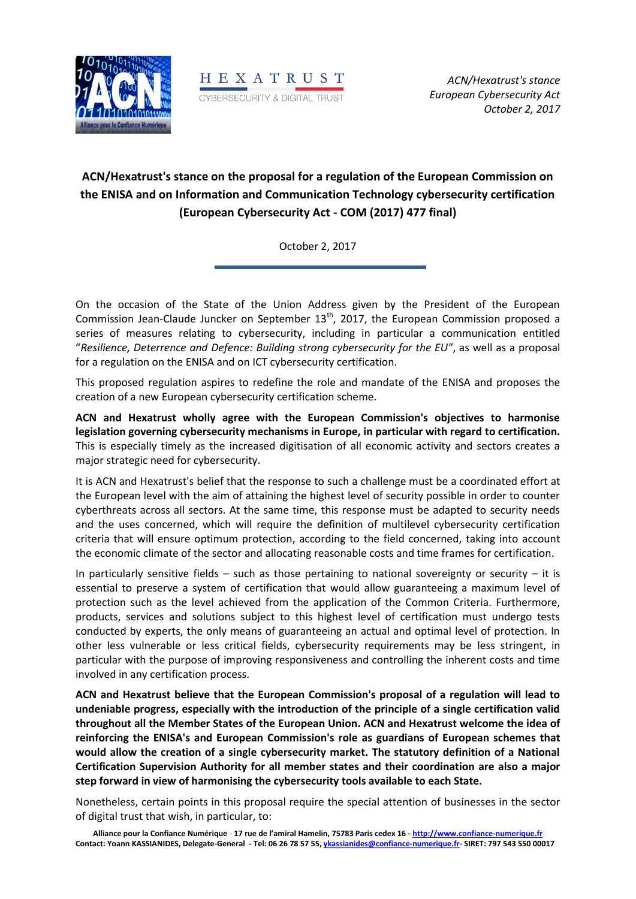



# **ACN/Hexatrust's stance on the proposal for a regulation of the European Commission on the ENISA and on Information and Communication Technology cybersecurity certification (European Cybersecurity Act - COM (2017) 477 final)**

October 2, 2017

On the occasion of the State of the Union Address given by the President of the European Commission Jean-Claude Juncker on September  $13<sup>th</sup>$ , 2017, the European Commission proposed a series of measures relating to cybersecurity, including in particular a communication entitled "*Resilience, Deterrence and Defence: Building strong cybersecurity for the EU"*, as well as a proposal for a regulation on the ENISA and on ICT cybersecurity certification.

This proposed regulation aspires to redefine the role and mandate of the ENISA and proposes the creation of a new European cybersecurity certification scheme.

**ACN and Hexatrust wholly agree with the European Commission's objectives to harmonise legislation governing cybersecurity mechanisms in Europe, in particular with regard to certification.** This is especially timely as the increased digitisation of all economic activity and sectors creates a major strategic need for cybersecurity.

It is ACN and Hexatrust's belief that the response to such a challenge must be a coordinated effort at the European level with the aim of attaining the highest level of security possible in order to counter cyberthreats across all sectors. At the same time, this response must be adapted to security needs and the uses concerned, which will require the definition of multilevel cybersecurity certification criteria that will ensure optimum protection, according to the field concerned, taking into account the economic climate of the sector and allocating reasonable costs and time frames for certification.

In particularly sensitive fields – such as those pertaining to national sovereignty or security – it is essential to preserve a system of certification that would allow guaranteeing a maximum level of protection such as the level achieved from the application of the Common Criteria. Furthermore, products, services and solutions subject to this highest level of certification must undergo tests conducted by experts, the only means of guaranteeing an actual and optimal level of protection. In other less vulnerable or less critical fields, cybersecurity requirements may be less stringent, in particular with the purpose of improving responsiveness and controlling the inherent costs and time involved in any certification process.

**ACN and Hexatrust believe that the European Commission's proposal of a regulation will lead to undeniable progress, especially with the introduction of the principle of a single certification valid throughout all the Member States of the European Union. ACN and Hexatrust welcome the idea of reinforcing the ENISA's and European Commission's role as guardians of European schemes that would allow the creation of a single cybersecurity market. The statutory definition of a National Certification Supervision Authority for all member states and their coordination are also a major step forward in view of harmonising the cybersecurity tools available to each State.** 

Nonetheless, certain points in this proposal require the special attention of businesses in the sector of digital trust that wish, in particular, to: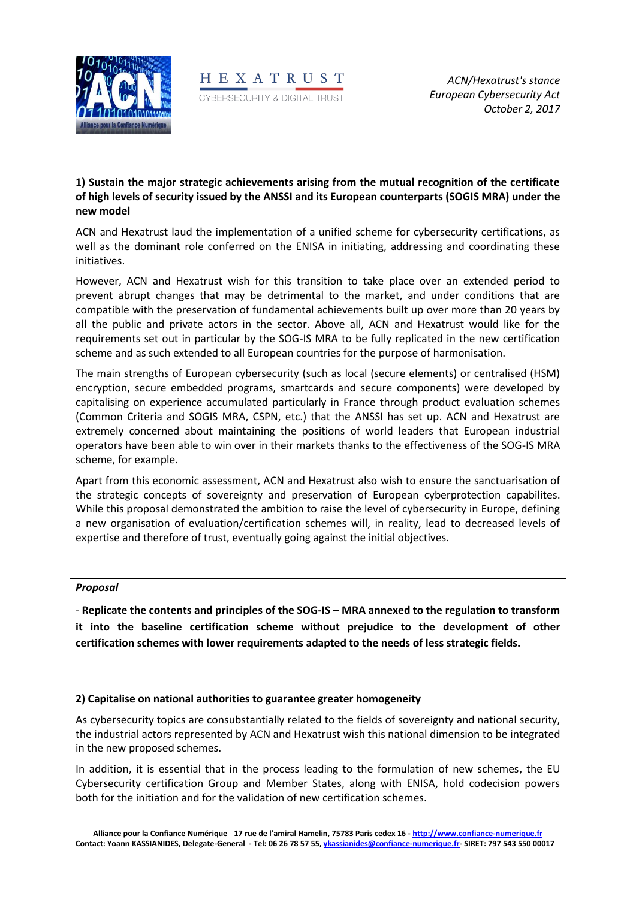



# **1) Sustain the major strategic achievements arising from the mutual recognition of the certificate of high levels of security issued by the ANSSI and its European counterparts (SOGIS MRA) under the new model**

ACN and Hexatrust laud the implementation of a unified scheme for cybersecurity certifications, as well as the dominant role conferred on the ENISA in initiating, addressing and coordinating these initiatives.

However, ACN and Hexatrust wish for this transition to take place over an extended period to prevent abrupt changes that may be detrimental to the market, and under conditions that are compatible with the preservation of fundamental achievements built up over more than 20 years by all the public and private actors in the sector. Above all, ACN and Hexatrust would like for the requirements set out in particular by the SOG-IS MRA to be fully replicated in the new certification scheme and as such extended to all European countries for the purpose of harmonisation.

The main strengths of European cybersecurity (such as local (secure elements) or centralised (HSM) encryption, secure embedded programs, smartcards and secure components) were developed by capitalising on experience accumulated particularly in France through product evaluation schemes (Common Criteria and SOGIS MRA, CSPN, etc.) that the ANSSI has set up. ACN and Hexatrust are extremely concerned about maintaining the positions of world leaders that European industrial operators have been able to win over in their markets thanks to the effectiveness of the SOG-IS MRA scheme, for example.

Apart from this economic assessment, ACN and Hexatrust also wish to ensure the sanctuarisation of the strategic concepts of sovereignty and preservation of European cyberprotection capabilites. While this proposal demonstrated the ambition to raise the level of cybersecurity in Europe, defining a new organisation of evaluation/certification schemes will, in reality, lead to decreased levels of expertise and therefore of trust, eventually going against the initial objectives.

## *Proposal*

- **Replicate the contents and principles of the SOG-IS – MRA annexed to the regulation to transform it into the baseline certification scheme without prejudice to the development of other certification schemes with lower requirements adapted to the needs of less strategic fields.**

## **2) Capitalise on national authorities to guarantee greater homogeneity**

As cybersecurity topics are consubstantially related to the fields of sovereignty and national security, the industrial actors represented by ACN and Hexatrust wish this national dimension to be integrated in the new proposed schemes.

In addition, it is essential that in the process leading to the formulation of new schemes, the EU Cybersecurity certification Group and Member States, along with ENISA, hold codecision powers both for the initiation and for the validation of new certification schemes.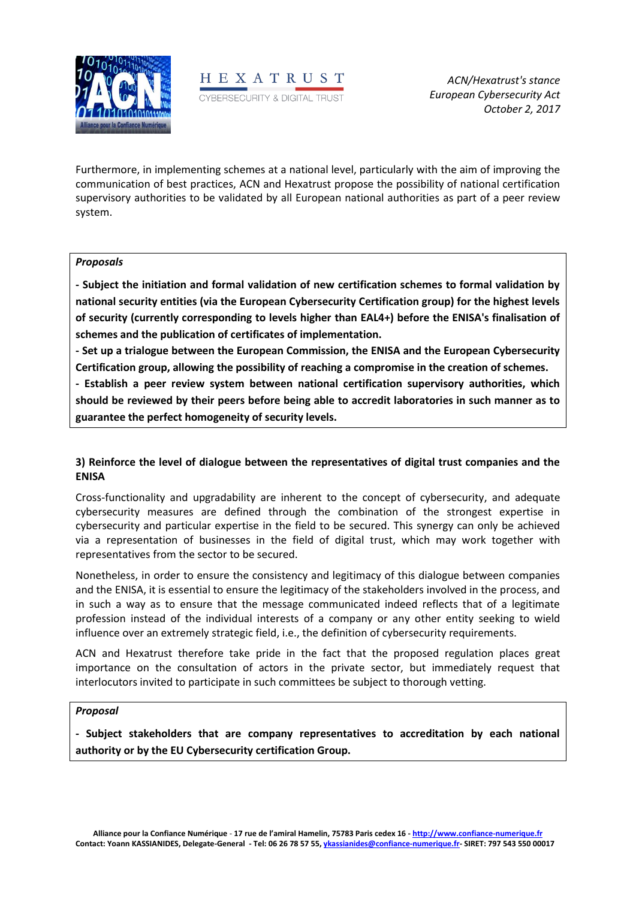



Furthermore, in implementing schemes at a national level, particularly with the aim of improving the communication of best practices, ACN and Hexatrust propose the possibility of national certification supervisory authorities to be validated by all European national authorities as part of a peer review system.

#### *Proposals*

**- Subject the initiation and formal validation of new certification schemes to formal validation by national security entities (via the European Cybersecurity Certification group) for the highest levels of security (currently corresponding to levels higher than EAL4+) before the ENISA's finalisation of schemes and the publication of certificates of implementation.** 

**- Set up a trialogue between the European Commission, the ENISA and the European Cybersecurity Certification group, allowing the possibility of reaching a compromise in the creation of schemes.**

**- Establish a peer review system between national certification supervisory authorities, which should be reviewed by their peers before being able to accredit laboratories in such manner as to guarantee the perfect homogeneity of security levels.** 

## **3) Reinforce the level of dialogue between the representatives of digital trust companies and the ENISA**

Cross-functionality and upgradability are inherent to the concept of cybersecurity, and adequate cybersecurity measures are defined through the combination of the strongest expertise in cybersecurity and particular expertise in the field to be secured. This synergy can only be achieved via a representation of businesses in the field of digital trust, which may work together with representatives from the sector to be secured.

Nonetheless, in order to ensure the consistency and legitimacy of this dialogue between companies and the ENISA, it is essential to ensure the legitimacy of the stakeholders involved in the process, and in such a way as to ensure that the message communicated indeed reflects that of a legitimate profession instead of the individual interests of a company or any other entity seeking to wield influence over an extremely strategic field, i.e., the definition of cybersecurity requirements.

ACN and Hexatrust therefore take pride in the fact that the proposed regulation places great importance on the consultation of actors in the private sector, but immediately request that interlocutors invited to participate in such committees be subject to thorough vetting.

#### *Proposal*

**- Subject stakeholders that are company representatives to accreditation by each national authority or by the EU Cybersecurity certification Group.**